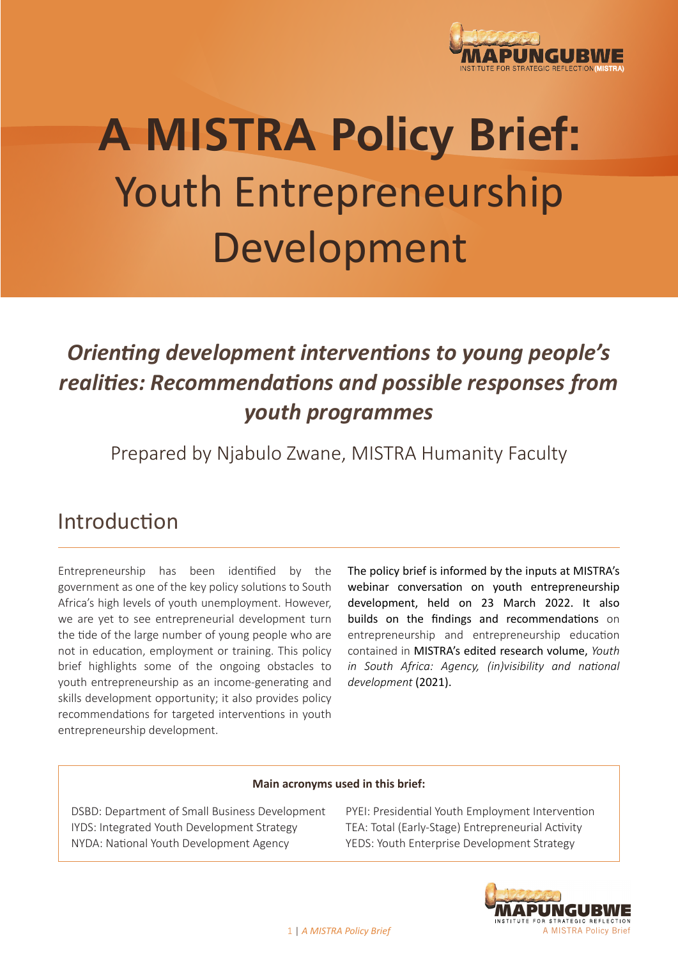

# **A MISTRA Policy Brief:** Youth Entrepreneurship Development

## *Orienting development interventions to young people's realities: Recommendations and possible responses from youth programmes*

Prepared by Njabulo Zwane, MISTRA Humanity Faculty

#### Introduction

Entrepreneurship has been identified by the government as one of the key policy solutions to South Africa's high levels of youth unemployment. However, we are yet to see entrepreneurial development turn the tide of the large number of young people who are not in education, employment or training. This policy brief highlights some of the ongoing obstacles to youth entrepreneurship as an income-generating and skills development opportunity; it also provides policy recommendations for targeted interventions in youth entrepreneurship development.

The policy brief is informed by the inputs at MISTRA's webinar conversation on youth entrepreneurship development, held on 23 March 2022. It also builds on the findings and recommendations on entrepreneurship and entrepreneurship education contained in MISTRA's edited research volume, *Youth in South Africa: Agency, (in)visibility and national development* (2021).

#### **Main acronyms used in this brief:**

DSBD: Department of Small Business Development IYDS: Integrated Youth Development Strategy NYDA: National Youth Development Agency

PYEI: Presidential Youth Employment Intervention TEA: Total (Early-Stage) Entrepreneurial Activity YEDS: Youth Enterprise Development Strategy

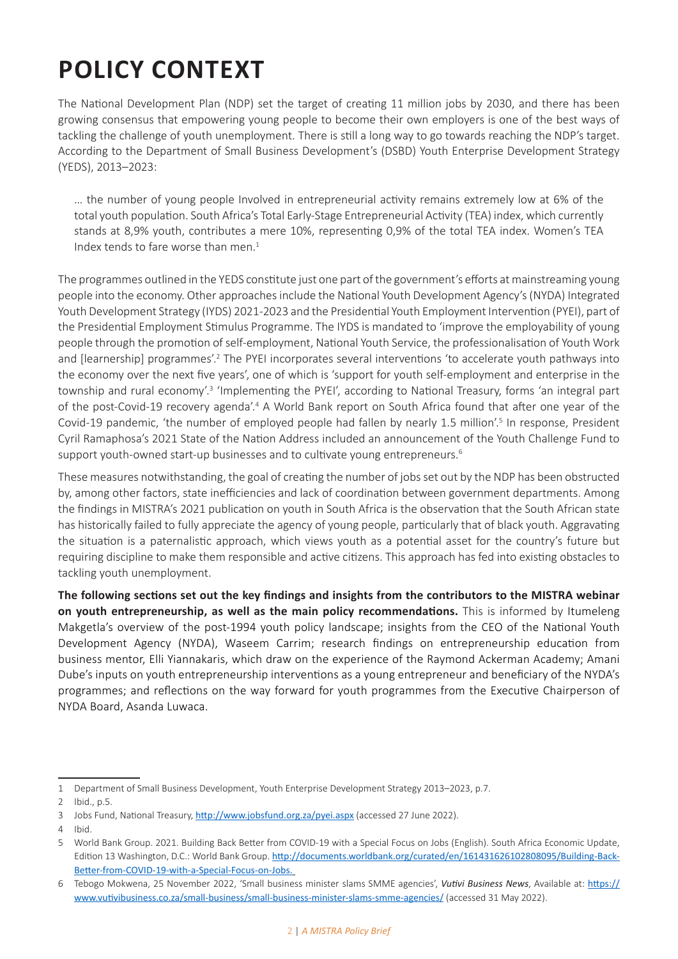## **POLICY CONTEXT**

The National Development Plan (NDP) set the target of creating 11 million jobs by 2030, and there has been growing consensus that empowering young people to become their own employers is one of the best ways of tackling the challenge of youth unemployment. There is still a long way to go towards reaching the NDP's target. According to the Department of Small Business Development's (DSBD) Youth Enterprise Development Strategy (YEDS), 2013–2023:

… the number of young people Involved in entrepreneurial activity remains extremely low at 6% of the total youth population. South Africa's Total Early-Stage Entrepreneurial Activity (TEA) index, which currently stands at 8,9% youth, contributes a mere 10%, representing 0,9% of the total TEA index. Women's TEA Index tends to fare worse than men.<sup>1</sup>

The programmes outlined in the YEDS constitute just one part of the government's efforts at mainstreaming young people into the economy. Other approaches include the National Youth Development Agency's (NYDA) Integrated Youth Development Strategy (IYDS) 2021-2023 and the Presidential Youth Employment Intervention (PYEI), part of the Presidential Employment Stimulus Programme. The IYDS is mandated to 'improve the employability of young people through the promotion of self-employment, National Youth Service, the professionalisation of Youth Work and [learnership] programmes'.<sup>2</sup> The PYEI incorporates several interventions 'to accelerate youth pathways into the economy over the next five years', one of which is 'support for youth self-employment and enterprise in the township and rural economy'.<sup>3</sup> 'Implementing the PYEI', according to National Treasury, forms 'an integral part of the post-Covid-19 recovery agenda'.<sup>4</sup> A World Bank report on South Africa found that after one year of the Covid-19 pandemic, 'the number of employed people had fallen by nearly 1.5 million'.<sup>5</sup> In response, President Cyril Ramaphosa's 2021 State of the Nation Address included an announcement of the Youth Challenge Fund to support youth-owned start-up businesses and to cultivate young entrepreneurs.<sup>6</sup>

These measures notwithstanding, the goal of creating the number of jobs set out by the NDP has been obstructed by, among other factors, state inefficiencies and lack of coordination between government departments. Among the findings in MISTRA's 2021 publication on youth in South Africa is the observation that the South African state has historically failed to fully appreciate the agency of young people, particularly that of black youth. Aggravating the situation is a paternalistic approach, which views youth as a potential asset for the country's future but requiring discipline to make them responsible and active citizens. This approach has fed into existing obstacles to tackling youth unemployment.

**The following sections set out the key findings and insights from the contributors to the MISTRA webinar on youth entrepreneurship, as well as the main policy recommendations.** This is informed by Itumeleng Makgetla's overview of the post-1994 youth policy landscape; insights from the CEO of the National Youth Development Agency (NYDA), Waseem Carrim; research findings on entrepreneurship education from business mentor, Elli Yiannakaris, which draw on the experience of the Raymond Ackerman Academy; Amani Dube's inputs on youth entrepreneurship interventions as a young entrepreneur and beneficiary of the NYDA's programmes; and reflections on the way forward for youth programmes from the Executive Chairperson of NYDA Board, Asanda Luwaca.

<sup>1</sup> Department of Small Business Development, Youth Enterprise Development Strategy 2013–2023, p.7.

<sup>2</sup> Ibid., p.5.

<sup>3</sup> Jobs Fund, National Treasury, http://www.jobsfund.org.za/pyei.aspx (accessed 27 June 2022).

<sup>4</sup> Ibid.

<sup>5</sup> World Bank Group. 2021. Building Back Better from COVID-19 with a Special Focus on Jobs (English). South Africa Economic Update, Edition 13 Washington, D.C.: World Bank Group. http://documents.worldbank.org/curated/en/161431626102808095/Building-Back-Better-from-COVID-19-with-a-Special-Focus-on-Jobs.

<sup>6</sup> Tebogo Mokwena, 25 November 2022, 'Small business minister slams SMME agencies', *Vutivi Business News*, Available at: https:// www.vutivibusiness.co.za/small-business/small-business-minister-slams-smme-agencies/ (accessed 31 May 2022).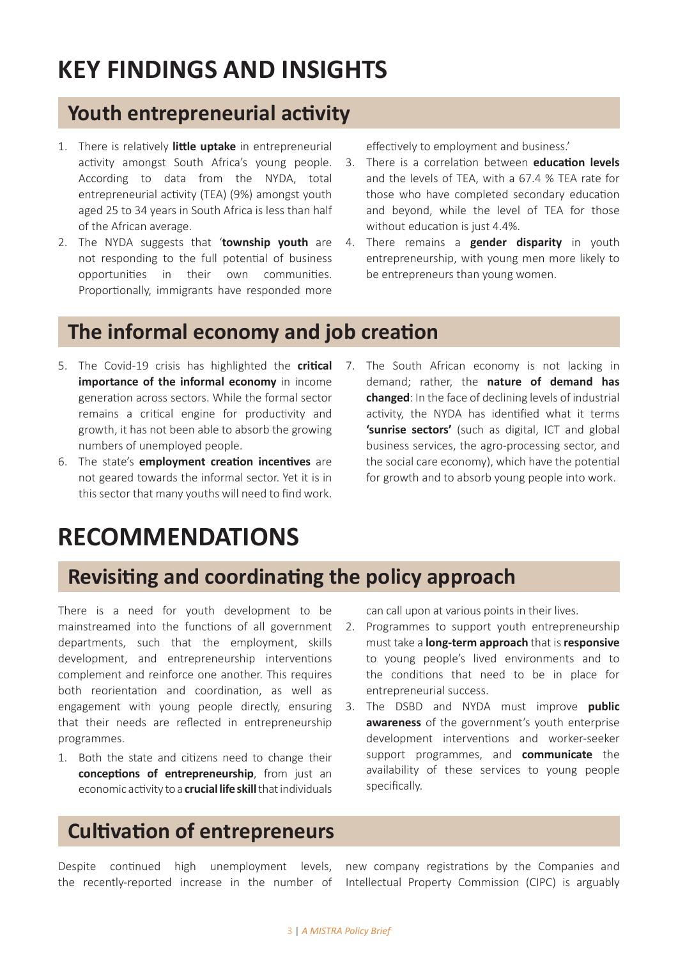## **KEY FINDINGS AND INSIGHTS**

#### **Youth entrepreneurial activity**

- 1. There is relatively **little uptake** in entrepreneurial activity amongst South Africa's young people. According to data from the NYDA, total entrepreneurial activity (TEA) (9%) amongst youth aged 25 to 34 years in South Africa is less than half of the African average.
- 2. The NYDA suggests that '**township youth** are not responding to the full potential of business opportunities in their own communities. Proportionally, immigrants have responded more

effectively to employment and business.'

- 3. There is a correlation between **education levels**  and the levels of TEA, with a 67.4 % TEA rate for those who have completed secondary education and beyond, while the level of TEA for those without education is just 4.4%.
- 4. There remains a **gender disparity** in youth entrepreneurship, with young men more likely to be entrepreneurs than young women.

#### **The informal economy and job creation**

- 5. The Covid-19 crisis has highlighted the **critical importance of the informal economy** in income generation across sectors. While the formal sector remains a critical engine for productivity and growth, it has not been able to absorb the growing numbers of unemployed people.
- 6. The state's **employment creation incentives** are not geared towards the informal sector. Yet it is in this sector that many youths will need to find work.
- 7. The South African economy is not lacking in demand; rather, the **nature of demand has changed**: In the face of declining levels of industrial activity, the NYDA has identified what it terms **'sunrise sectors'** (such as digital, ICT and global business services, the agro-processing sector, and the social care economy), which have the potential for growth and to absorb young people into work.

## **RECOMMENDATIONS**

### **Revisiting and coordinating the policy approach**

There is a need for youth development to be mainstreamed into the functions of all government departments, such that the employment, skills development, and entrepreneurship interventions complement and reinforce one another. This requires both reorientation and coordination, as well as engagement with young people directly, ensuring that their needs are reflected in entrepreneurship programmes.

1. Both the state and citizens need to change their **conceptions of entrepreneurship**, from just an economic activity to a **crucial life skill** that individuals can call upon at various points in their lives.

- 2. Programmes to support youth entrepreneurship must take a **long-term approach** that is **responsive** to young people's lived environments and to the conditions that need to be in place for entrepreneurial success.
- 3. The DSBD and NYDA must improve **public awareness** of the government's youth enterprise development interventions and worker-seeker support programmes, and **communicate** the availability of these services to young people specifically.

#### **Cultivation of entrepreneurs**

Despite continued high unemployment levels, the recently-reported increase in the number of

new company registrations by the Companies and Intellectual Property Commission (CIPC) is arguably